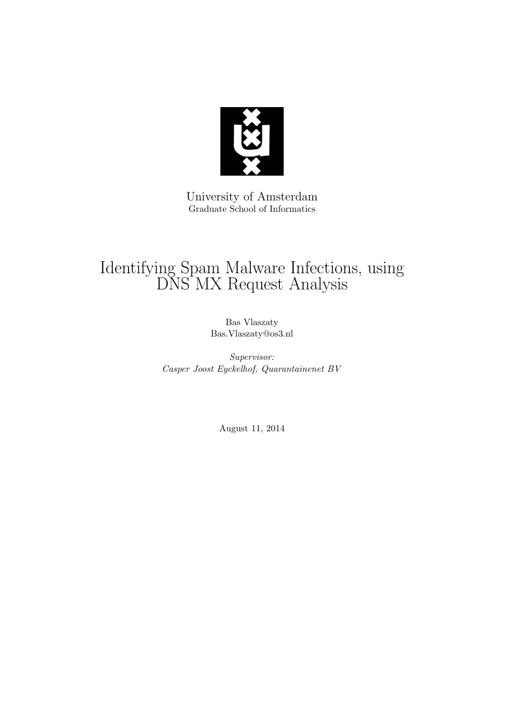

University of Amsterdam Graduate School of Informatics

# Identifying Spam Malware Infections, using DNS MX Request Analysis

Bas Vlaszaty Bas.Vlaszaty@os3.nl

Supervisor: Casper Joost Eyckelhof, Quarantainenet BV

August 11, 2014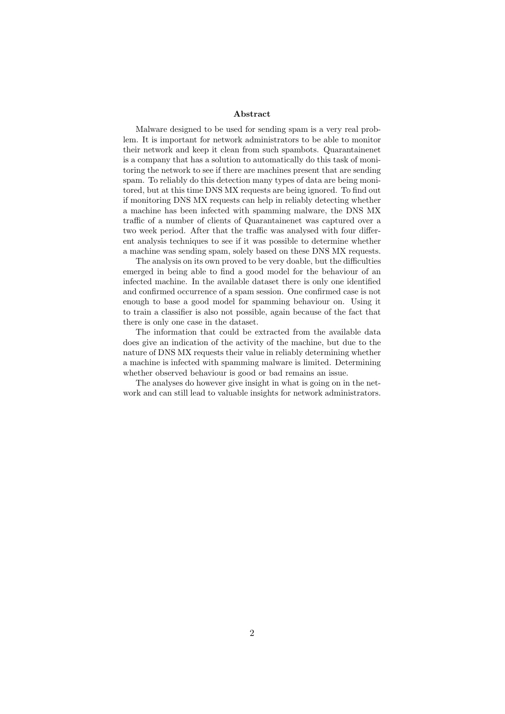#### Abstract

Malware designed to be used for sending spam is a very real problem. It is important for network administrators to be able to monitor their network and keep it clean from such spambots. Quarantainenet is a company that has a solution to automatically do this task of monitoring the network to see if there are machines present that are sending spam. To reliably do this detection many types of data are being monitored, but at this time DNS MX requests are being ignored. To find out if monitoring DNS MX requests can help in reliably detecting whether a machine has been infected with spamming malware, the DNS MX traffic of a number of clients of Quarantainenet was captured over a two week period. After that the traffic was analysed with four different analysis techniques to see if it was possible to determine whether a machine was sending spam, solely based on these DNS MX requests.

The analysis on its own proved to be very doable, but the difficulties emerged in being able to find a good model for the behaviour of an infected machine. In the available dataset there is only one identified and confirmed occurrence of a spam session. One confirmed case is not enough to base a good model for spamming behaviour on. Using it to train a classifier is also not possible, again because of the fact that there is only one case in the dataset.

The information that could be extracted from the available data does give an indication of the activity of the machine, but due to the nature of DNS MX requests their value in reliably determining whether a machine is infected with spamming malware is limited. Determining whether observed behaviour is good or bad remains an issue.

The analyses do however give insight in what is going on in the network and can still lead to valuable insights for network administrators.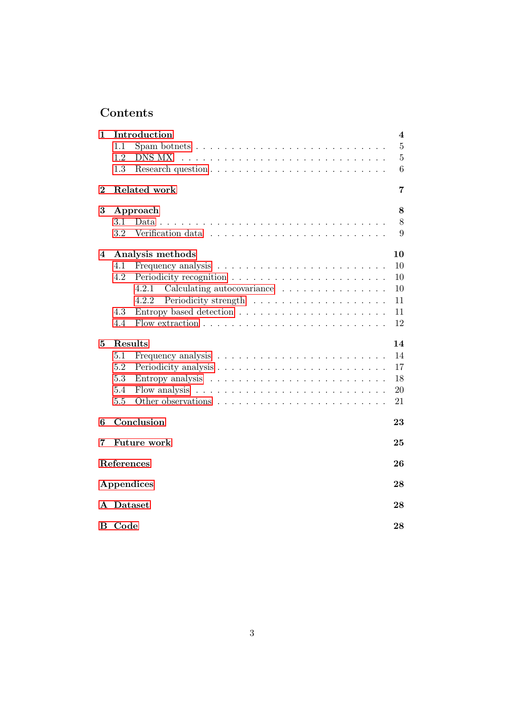# Contents

| 1        | Introduction                                                                   | $\overline{\mathbf{4}}$ |  |  |  |  |
|----------|--------------------------------------------------------------------------------|-------------------------|--|--|--|--|
|          | 1.1<br>Spam botnets $\dots \dots \dots \dots \dots \dots \dots \dots \dots$    | $5\,$                   |  |  |  |  |
|          | 1.2<br>DNS MX                                                                  | $\overline{5}$          |  |  |  |  |
|          | 1.3                                                                            | 6                       |  |  |  |  |
| $\bf{2}$ | Related work                                                                   | 7                       |  |  |  |  |
| 3        | Approach                                                                       | 8                       |  |  |  |  |
|          | 3.1<br>Data.                                                                   | 8                       |  |  |  |  |
|          | 3.2<br>Verification data $\dots \dots \dots \dots \dots \dots \dots \dots$     | 9                       |  |  |  |  |
| 4        | Analysis methods                                                               | 10                      |  |  |  |  |
|          | 4.1                                                                            | 10                      |  |  |  |  |
|          | 4.2                                                                            | 10                      |  |  |  |  |
|          | Calculating autocovariance<br>4.2.1                                            | 10                      |  |  |  |  |
|          | 4.2.2                                                                          | 11                      |  |  |  |  |
|          | 4.3                                                                            | 11                      |  |  |  |  |
|          | 4.4                                                                            | 12                      |  |  |  |  |
| 5        | Results                                                                        | 14                      |  |  |  |  |
|          | 5.1                                                                            | 14                      |  |  |  |  |
|          | 5.2                                                                            | 17                      |  |  |  |  |
|          | 5.3                                                                            | 18                      |  |  |  |  |
|          | 5.4<br>Flow analysis $\ldots \ldots \ldots \ldots \ldots \ldots \ldots \ldots$ | 20                      |  |  |  |  |
|          | 5.5<br>Other observations                                                      | 21                      |  |  |  |  |
| 6        | Conclusion                                                                     | 23                      |  |  |  |  |
| 7        | <b>Future work</b><br>25                                                       |                         |  |  |  |  |
|          | References                                                                     | 26                      |  |  |  |  |
|          | Appendices                                                                     | 28                      |  |  |  |  |
|          | A Dataset<br>28                                                                |                         |  |  |  |  |
| в        | Code                                                                           | 28                      |  |  |  |  |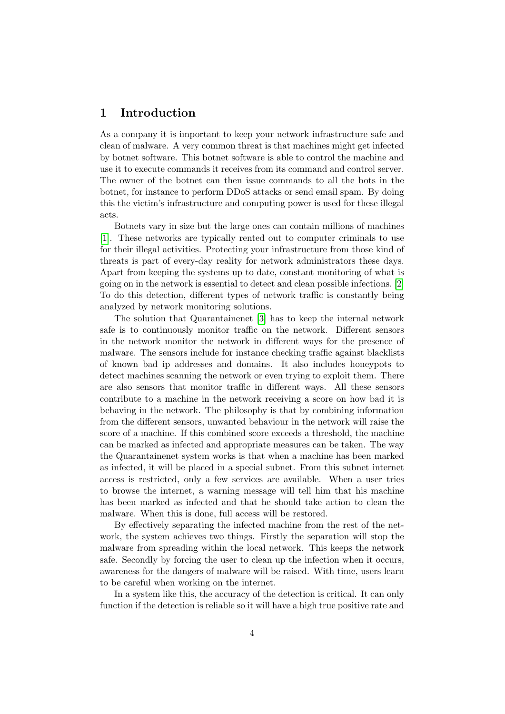## <span id="page-3-0"></span>1 Introduction

As a company it is important to keep your network infrastructure safe and clean of malware. A very common threat is that machines might get infected by botnet software. This botnet software is able to control the machine and use it to execute commands it receives from its command and control server. The owner of the botnet can then issue commands to all the bots in the botnet, for instance to perform DDoS attacks or send email spam. By doing this the victim's infrastructure and computing power is used for these illegal acts.

Botnets vary in size but the large ones can contain millions of machines [\[1\]](#page-25-1). These networks are typically rented out to computer criminals to use for their illegal activities. Protecting your infrastructure from those kind of threats is part of every-day reality for network administrators these days. Apart from keeping the systems up to date, constant monitoring of what is going on in the network is essential to detect and clean possible infections. [\[2\]](#page-25-2) To do this detection, different types of network traffic is constantly being analyzed by network monitoring solutions.

The solution that Quarantainenet [\[3\]](#page-25-3) has to keep the internal network safe is to continuously monitor traffic on the network. Different sensors in the network monitor the network in different ways for the presence of malware. The sensors include for instance checking traffic against blacklists of known bad ip addresses and domains. It also includes honeypots to detect machines scanning the network or even trying to exploit them. There are also sensors that monitor traffic in different ways. All these sensors contribute to a machine in the network receiving a score on how bad it is behaving in the network. The philosophy is that by combining information from the different sensors, unwanted behaviour in the network will raise the score of a machine. If this combined score exceeds a threshold, the machine can be marked as infected and appropriate measures can be taken. The way the Quarantainenet system works is that when a machine has been marked as infected, it will be placed in a special subnet. From this subnet internet access is restricted, only a few services are available. When a user tries to browse the internet, a warning message will tell him that his machine has been marked as infected and that he should take action to clean the malware. When this is done, full access will be restored.

By effectively separating the infected machine from the rest of the network, the system achieves two things. Firstly the separation will stop the malware from spreading within the local network. This keeps the network safe. Secondly by forcing the user to clean up the infection when it occurs, awareness for the dangers of malware will be raised. With time, users learn to be careful when working on the internet.

In a system like this, the accuracy of the detection is critical. It can only function if the detection is reliable so it will have a high true positive rate and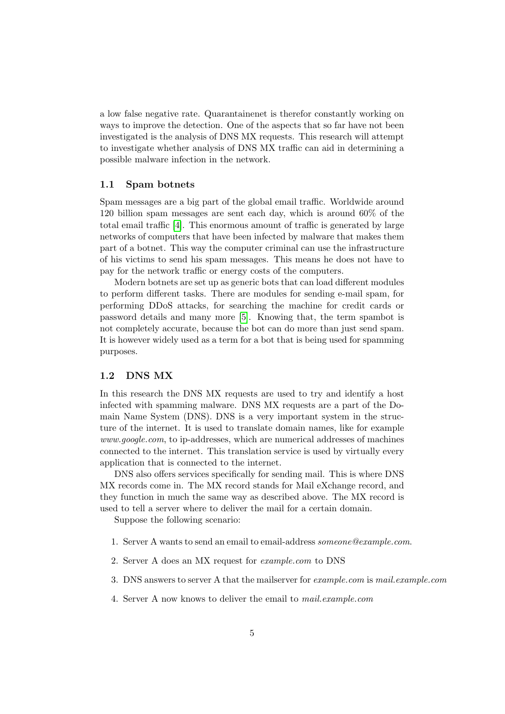a low false negative rate. Quarantainenet is therefor constantly working on ways to improve the detection. One of the aspects that so far have not been investigated is the analysis of DNS MX requests. This research will attempt to investigate whether analysis of DNS MX traffic can aid in determining a possible malware infection in the network.

#### <span id="page-4-0"></span>1.1 Spam botnets

Spam messages are a big part of the global email traffic. Worldwide around 120 billion spam messages are sent each day, which is around 60% of the total email traffic [\[4\]](#page-25-4). This enormous amount of traffic is generated by large networks of computers that have been infected by malware that makes them part of a botnet. This way the computer criminal can use the infrastructure of his victims to send his spam messages. This means he does not have to pay for the network traffic or energy costs of the computers.

Modern botnets are set up as generic bots that can load different modules to perform different tasks. There are modules for sending e-mail spam, for performing DDoS attacks, for searching the machine for credit cards or password details and many more [\[5\]](#page-25-5). Knowing that, the term spambot is not completely accurate, because the bot can do more than just send spam. It is however widely used as a term for a bot that is being used for spamming purposes.

#### <span id="page-4-1"></span>1.2 DNS MX

In this research the DNS MX requests are used to try and identify a host infected with spamming malware. DNS MX requests are a part of the Domain Name System (DNS). DNS is a very important system in the structure of the internet. It is used to translate domain names, like for example www.google.com, to ip-addresses, which are numerical addresses of machines connected to the internet. This translation service is used by virtually every application that is connected to the internet.

DNS also offers services specifically for sending mail. This is where DNS MX records come in. The MX record stands for Mail eXchange record, and they function in much the same way as described above. The MX record is used to tell a server where to deliver the mail for a certain domain.

Suppose the following scenario:

- 1. Server A wants to send an email to email-address someone@example.com.
- 2. Server A does an MX request for example.com to DNS
- 3. DNS answers to server A that the mailserver for *example.com* is *mail.example.com*
- 4. Server A now knows to deliver the email to mail.example.com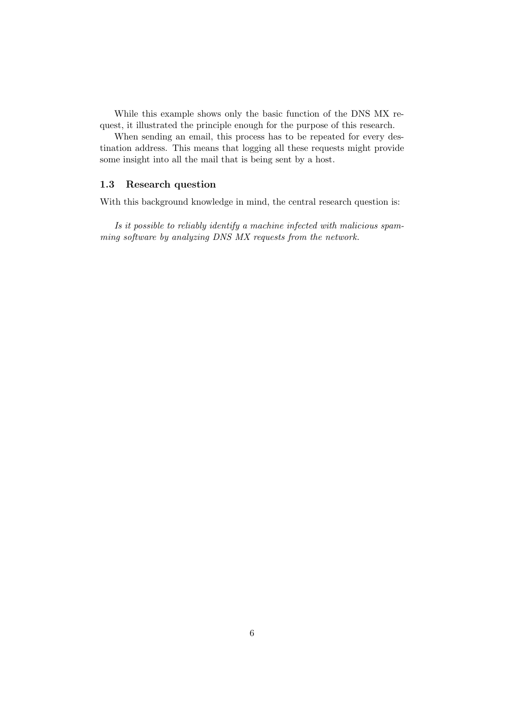While this example shows only the basic function of the DNS MX request, it illustrated the principle enough for the purpose of this research.

When sending an email, this process has to be repeated for every destination address. This means that logging all these requests might provide some insight into all the mail that is being sent by a host.

#### <span id="page-5-0"></span>1.3 Research question

With this background knowledge in mind, the central research question is:

Is it possible to reliably identify a machine infected with malicious spamming software by analyzing DNS MX requests from the network.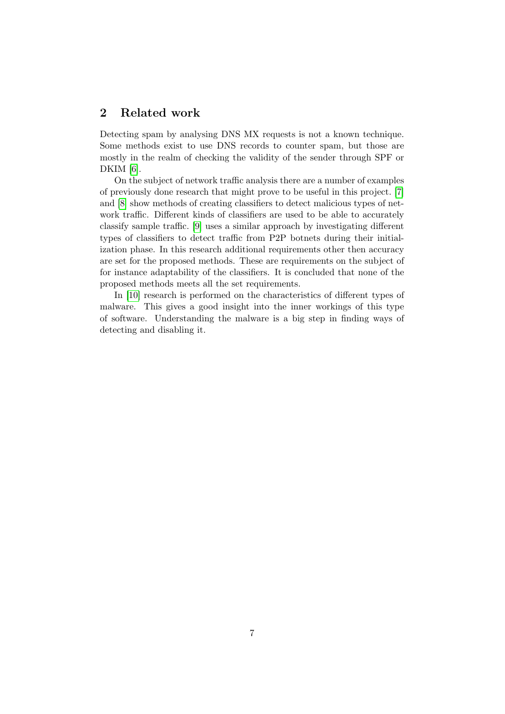## <span id="page-6-0"></span>2 Related work

Detecting spam by analysing DNS MX requests is not a known technique. Some methods exist to use DNS records to counter spam, but those are mostly in the realm of checking the validity of the sender through SPF or DKIM [\[6\]](#page-25-6).

On the subject of network traffic analysis there are a number of examples of previously done research that might prove to be useful in this project. [\[7\]](#page-25-7) and [\[8\]](#page-25-8) show methods of creating classifiers to detect malicious types of network traffic. Different kinds of classifiers are used to be able to accurately classify sample traffic. [\[9\]](#page-25-9) uses a similar approach by investigating different types of classifiers to detect traffic from P2P botnets during their initialization phase. In this research additional requirements other then accuracy are set for the proposed methods. These are requirements on the subject of for instance adaptability of the classifiers. It is concluded that none of the proposed methods meets all the set requirements.

In [\[10\]](#page-25-10) research is performed on the characteristics of different types of malware. This gives a good insight into the inner workings of this type of software. Understanding the malware is a big step in finding ways of detecting and disabling it.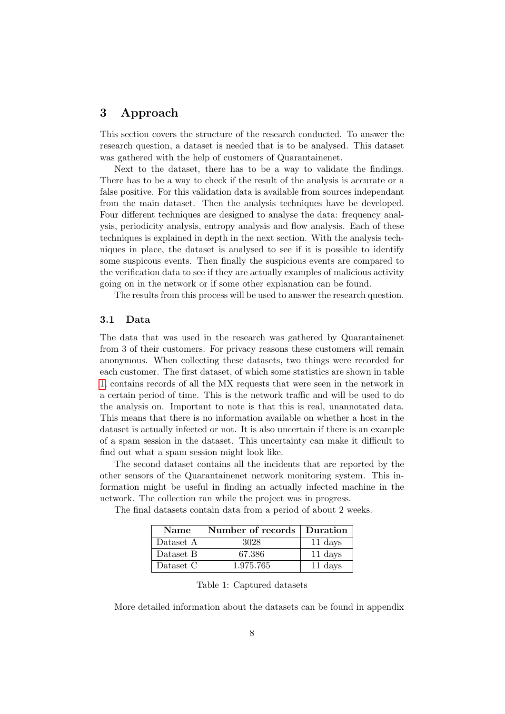## <span id="page-7-0"></span>3 Approach

This section covers the structure of the research conducted. To answer the research question, a dataset is needed that is to be analysed. This dataset was gathered with the help of customers of Quarantainenet.

Next to the dataset, there has to be a way to validate the findings. There has to be a way to check if the result of the analysis is accurate or a false positive. For this validation data is available from sources independant from the main dataset. Then the analysis techniques have be developed. Four different techniques are designed to analyse the data: frequency analysis, periodicity analysis, entropy analysis and flow analysis. Each of these techniques is explained in depth in the next section. With the analysis techniques in place, the dataset is analysed to see if it is possible to identify some suspicous events. Then finally the suspicious events are compared to the verification data to see if they are actually examples of malicious activity going on in the network or if some other explanation can be found.

The results from this process will be used to answer the research question.

#### <span id="page-7-1"></span>3.1 Data

The data that was used in the research was gathered by Quarantainenet from 3 of their customers. For privacy reasons these customers will remain anonymous. When collecting these datasets, two things were recorded for each customer. The first dataset, of which some statistics are shown in table [1,](#page-7-2) contains records of all the MX requests that were seen in the network in a certain period of time. This is the network traffic and will be used to do the analysis on. Important to note is that this is real, unannotated data. This means that there is no information available on whether a host in the dataset is actually infected or not. It is also uncertain if there is an example of a spam session in the dataset. This uncertainty can make it difficult to find out what a spam session might look like.

The second dataset contains all the incidents that are reported by the other sensors of the Quarantainenet network monitoring system. This information might be useful in finding an actually infected machine in the network. The collection ran while the project was in progress.

The final datasets contain data from a period of about 2 weeks.

| <b>Name</b> | Number of records   Duration |         |  |
|-------------|------------------------------|---------|--|
| Dataset A   | 3028                         | 11 days |  |
| Dataset B   | 67.386                       | 11 days |  |
| Dataset C   | 1.975.765                    | 11 days |  |

<span id="page-7-2"></span>

|  |  | Table 1: Captured datasets |  |
|--|--|----------------------------|--|
|--|--|----------------------------|--|

More detailed information about the datasets can be found in appendix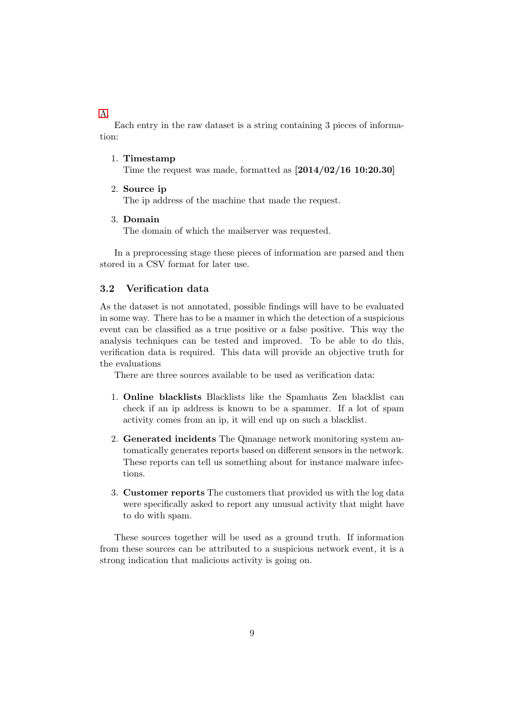#### [A.](#page-27-1)

Each entry in the raw dataset is a string containing 3 pieces of information:

#### 1. Timestamp

Time the request was made, formatted as  $[2014/02/16 10:20.30]$ 

2. Source ip

The ip address of the machine that made the request.

3. Domain

The domain of which the mailserver was requested.

In a preprocessing stage these pieces of information are parsed and then stored in a CSV format for later use.

### <span id="page-8-0"></span>3.2 Verification data

As the dataset is not annotated, possible findings will have to be evaluated in some way. There has to be a manner in which the detection of a suspicious event can be classified as a true positive or a false positive. This way the analysis techniques can be tested and improved. To be able to do this, verification data is required. This data will provide an objective truth for the evaluations

There are three sources available to be used as verification data:

- 1. Online blacklists Blacklists like the Spamhaus Zen blacklist can check if an ip address is known to be a spammer. If a lot of spam activity comes from an ip, it will end up on such a blacklist.
- 2. Generated incidents The Qmanage network monitoring system automatically generates reports based on different sensors in the network. These reports can tell us something about for instance malware infections.
- 3. Customer reports The customers that provided us with the log data were specifically asked to report any unusual activity that might have to do with spam.

These sources together will be used as a ground truth. If information from these sources can be attributed to a suspicious network event, it is a strong indication that malicious activity is going on.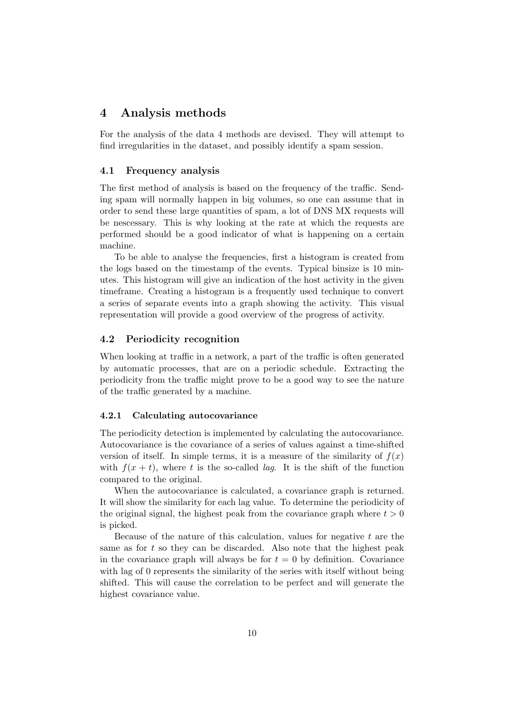## <span id="page-9-0"></span>4 Analysis methods

For the analysis of the data 4 methods are devised. They will attempt to find irregularities in the dataset, and possibly identify a spam session.

#### <span id="page-9-1"></span>4.1 Frequency analysis

The first method of analysis is based on the frequency of the traffic. Sending spam will normally happen in big volumes, so one can assume that in order to send these large quantities of spam, a lot of DNS MX requests will be nescessary. This is why looking at the rate at which the requests are performed should be a good indicator of what is happening on a certain machine.

To be able to analyse the frequencies, first a histogram is created from the logs based on the timestamp of the events. Typical binsize is 10 minutes. This histogram will give an indication of the host activity in the given timeframe. Creating a histogram is a frequently used technique to convert a series of separate events into a graph showing the activity. This visual representation will provide a good overview of the progress of activity.

#### <span id="page-9-2"></span>4.2 Periodicity recognition

When looking at traffic in a network, a part of the traffic is often generated by automatic processes, that are on a periodic schedule. Extracting the periodicity from the traffic might prove to be a good way to see the nature of the traffic generated by a machine.

#### <span id="page-9-3"></span>4.2.1 Calculating autocovariance

The periodicity detection is implemented by calculating the autocovariance. Autocovariance is the covariance of a series of values against a time-shifted version of itself. In simple terms, it is a measure of the similarity of  $f(x)$ with  $f(x + t)$ , where t is the so-called *lag*. It is the shift of the function compared to the original.

When the autocovariance is calculated, a covariance graph is returned. It will show the similarity for each lag value. To determine the periodicity of the original signal, the highest peak from the covariance graph where  $t > 0$ is picked.

Because of the nature of this calculation, values for negative  $t$  are the same as for  $t$  so they can be discarded. Also note that the highest peak in the covariance graph will always be for  $t = 0$  by definition. Covariance with lag of 0 represents the similarity of the series with itself without being shifted. This will cause the correlation to be perfect and will generate the highest covariance value.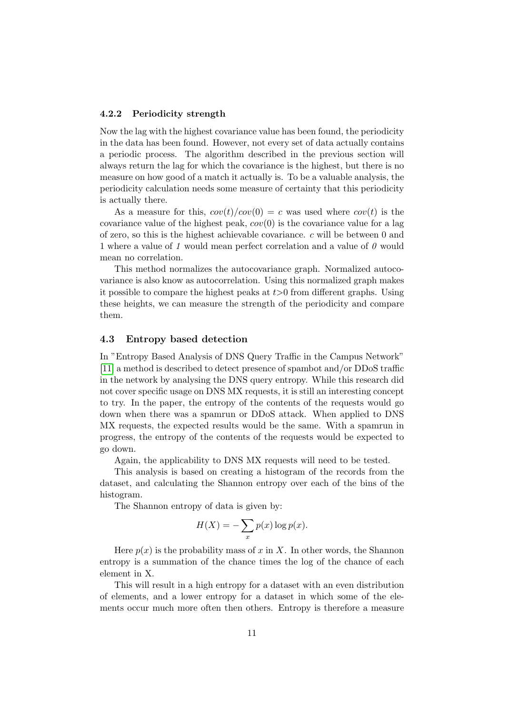#### <span id="page-10-0"></span>4.2.2 Periodicity strength

Now the lag with the highest covariance value has been found, the periodicity in the data has been found. However, not every set of data actually contains a periodic process. The algorithm described in the previous section will always return the lag for which the covariance is the highest, but there is no measure on how good of a match it actually is. To be a valuable analysis, the periodicity calculation needs some measure of certainty that this periodicity is actually there.

As a measure for this,  $cov(t)/cov(0) = c$  was used where  $cov(t)$  is the covariance value of the highest peak,  $cov(0)$  is the covariance value for a lag of zero, so this is the highest achievable covariance. c will be between 0 and 1 where a value of 1 would mean perfect correlation and a value of  $\theta$  would mean no correlation.

This method normalizes the autocovariance graph. Normalized autocovariance is also know as autocorrelation. Using this normalized graph makes it possible to compare the highest peaks at  $t > 0$  from different graphs. Using these heights, we can measure the strength of the periodicity and compare them.

#### <span id="page-10-1"></span>4.3 Entropy based detection

In "Entropy Based Analysis of DNS Query Traffic in the Campus Network" [\[11\]](#page-25-11) a method is described to detect presence of spambot and/or DDoS traffic in the network by analysing the DNS query entropy. While this research did not cover specific usage on DNS MX requests, it is still an interesting concept to try. In the paper, the entropy of the contents of the requests would go down when there was a spamrun or DDoS attack. When applied to DNS MX requests, the expected results would be the same. With a spamrun in progress, the entropy of the contents of the requests would be expected to go down.

Again, the applicability to DNS MX requests will need to be tested.

This analysis is based on creating a histogram of the records from the dataset, and calculating the Shannon entropy over each of the bins of the histogram.

The Shannon entropy of data is given by:

$$
H(X) = -\sum_{x} p(x) \log p(x).
$$

Here  $p(x)$  is the probability mass of x in X. In other words, the Shannon entropy is a summation of the chance times the log of the chance of each element in X.

This will result in a high entropy for a dataset with an even distribution of elements, and a lower entropy for a dataset in which some of the elements occur much more often then others. Entropy is therefore a measure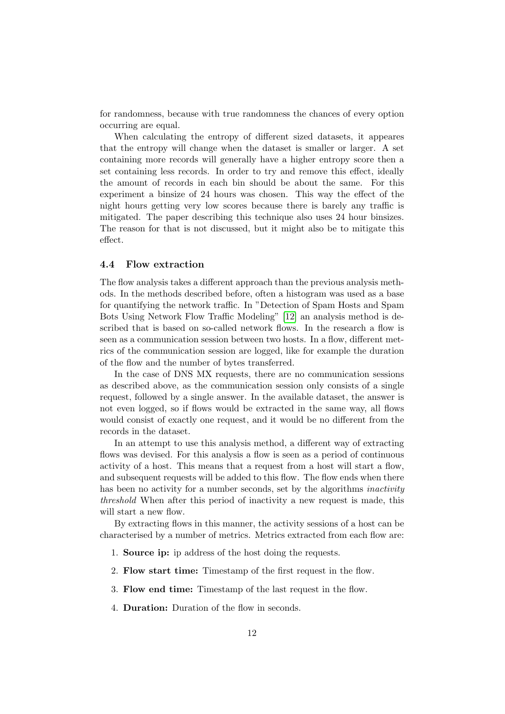for randomness, because with true randomness the chances of every option occurring are equal.

When calculating the entropy of different sized datasets, it appeares that the entropy will change when the dataset is smaller or larger. A set containing more records will generally have a higher entropy score then a set containing less records. In order to try and remove this effect, ideally the amount of records in each bin should be about the same. For this experiment a binsize of 24 hours was chosen. This way the effect of the night hours getting very low scores because there is barely any traffic is mitigated. The paper describing this technique also uses 24 hour binsizes. The reason for that is not discussed, but it might also be to mitigate this effect.

#### <span id="page-11-0"></span>4.4 Flow extraction

The flow analysis takes a different approach than the previous analysis methods. In the methods described before, often a histogram was used as a base for quantifying the network traffic. In "Detection of Spam Hosts and Spam Bots Using Network Flow Traffic Modeling" [\[12\]](#page-26-0) an analysis method is described that is based on so-called network flows. In the research a flow is seen as a communication session between two hosts. In a flow, different metrics of the communication session are logged, like for example the duration of the flow and the number of bytes transferred.

In the case of DNS MX requests, there are no communication sessions as described above, as the communication session only consists of a single request, followed by a single answer. In the available dataset, the answer is not even logged, so if flows would be extracted in the same way, all flows would consist of exactly one request, and it would be no different from the records in the dataset.

In an attempt to use this analysis method, a different way of extracting flows was devised. For this analysis a flow is seen as a period of continuous activity of a host. This means that a request from a host will start a flow, and subsequent requests will be added to this flow. The flow ends when there has been no activity for a number seconds, set by the algorithms *inactivity* threshold When after this period of inactivity a new request is made, this will start a new flow.

By extracting flows in this manner, the activity sessions of a host can be characterised by a number of metrics. Metrics extracted from each flow are:

- 1. Source ip: ip address of the host doing the requests.
- 2. Flow start time: Timestamp of the first request in the flow.
- 3. Flow end time: Timestamp of the last request in the flow.
- 4. Duration: Duration of the flow in seconds.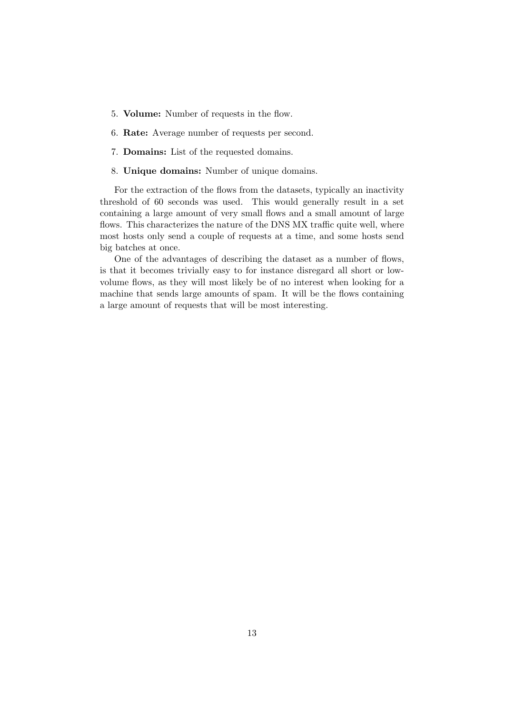- 5. Volume: Number of requests in the flow.
- 6. Rate: Average number of requests per second.
- 7. Domains: List of the requested domains.
- 8. Unique domains: Number of unique domains.

For the extraction of the flows from the datasets, typically an inactivity threshold of 60 seconds was used. This would generally result in a set containing a large amount of very small flows and a small amount of large flows. This characterizes the nature of the DNS MX traffic quite well, where most hosts only send a couple of requests at a time, and some hosts send big batches at once.

One of the advantages of describing the dataset as a number of flows, is that it becomes trivially easy to for instance disregard all short or lowvolume flows, as they will most likely be of no interest when looking for a machine that sends large amounts of spam. It will be the flows containing a large amount of requests that will be most interesting.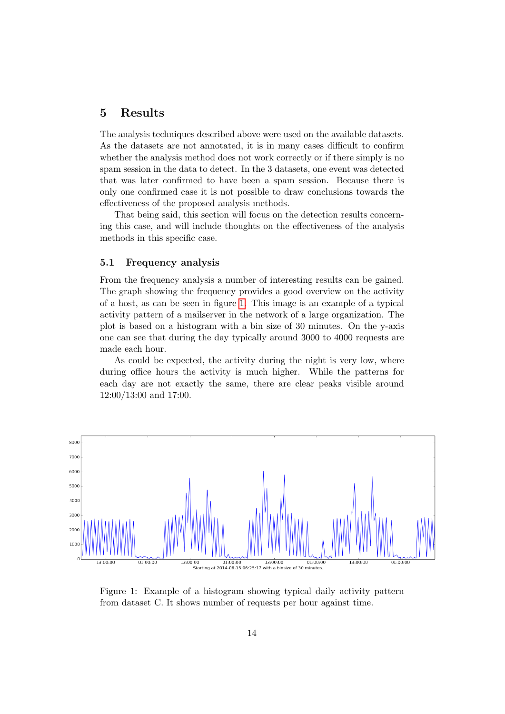## <span id="page-13-0"></span>5 Results

The analysis techniques described above were used on the available datasets. As the datasets are not annotated, it is in many cases difficult to confirm whether the analysis method does not work correctly or if there simply is no spam session in the data to detect. In the 3 datasets, one event was detected that was later confirmed to have been a spam session. Because there is only one confirmed case it is not possible to draw conclusions towards the effectiveness of the proposed analysis methods.

That being said, this section will focus on the detection results concerning this case, and will include thoughts on the effectiveness of the analysis methods in this specific case.

#### <span id="page-13-1"></span>5.1 Frequency analysis

From the frequency analysis a number of interesting results can be gained. The graph showing the frequency provides a good overview on the activity of a host, as can be seen in figure [1.](#page-13-2) This image is an example of a typical activity pattern of a mailserver in the network of a large organization. The plot is based on a histogram with a bin size of 30 minutes. On the y-axis one can see that during the day typically around 3000 to 4000 requests are made each hour.

As could be expected, the activity during the night is very low, where during office hours the activity is much higher. While the patterns for each day are not exactly the same, there are clear peaks visible around 12:00/13:00 and 17:00.



<span id="page-13-2"></span>Figure 1: Example of a histogram showing typical daily activity pattern from dataset C. It shows number of requests per hour against time.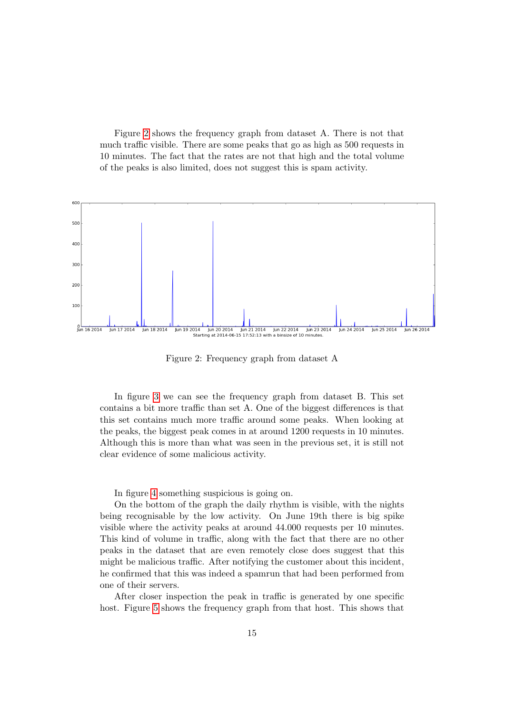Figure [2](#page-14-0) shows the frequency graph from dataset A. There is not that much traffic visible. There are some peaks that go as high as 500 requests in 10 minutes. The fact that the rates are not that high and the total volume of the peaks is also limited, does not suggest this is spam activity.



<span id="page-14-0"></span>Figure 2: Frequency graph from dataset A

In figure [3](#page-15-0) we can see the frequency graph from dataset B. This set contains a bit more traffic than set A. One of the biggest differences is that this set contains much more traffic around some peaks. When looking at the peaks, the biggest peak comes in at around 1200 requests in 10 minutes. Although this is more than what was seen in the previous set, it is still not clear evidence of some malicious activity.

In figure [4](#page-15-1) something suspicious is going on.

On the bottom of the graph the daily rhythm is visible, with the nights being recognisable by the low activity. On June 19th there is big spike visible where the activity peaks at around 44.000 requests per 10 minutes. This kind of volume in traffic, along with the fact that there are no other peaks in the dataset that are even remotely close does suggest that this might be malicious traffic. After notifying the customer about this incident, he confirmed that this was indeed a spamrun that had been performed from one of their servers.

After closer inspection the peak in traffic is generated by one specific host. Figure [5](#page-16-1) shows the frequency graph from that host. This shows that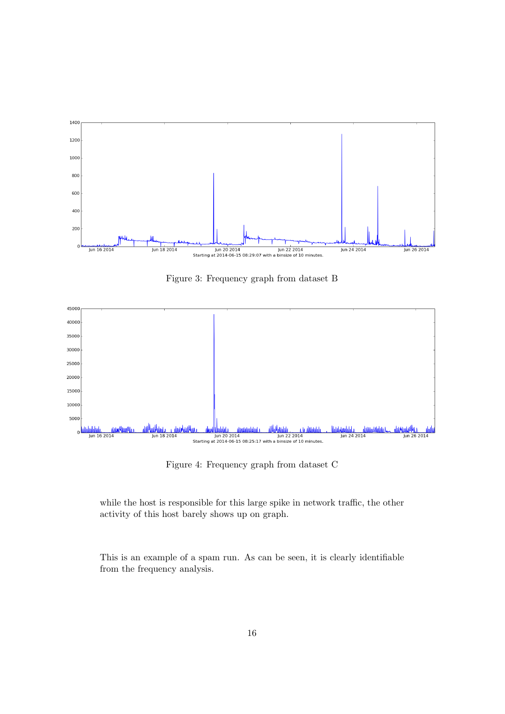

<span id="page-15-0"></span>Figure 3: Frequency graph from dataset B



<span id="page-15-1"></span>Figure 4: Frequency graph from dataset C

while the host is responsible for this large spike in network traffic, the other activity of this host barely shows up on graph.

This is an example of a spam run. As can be seen, it is clearly identifiable from the frequency analysis.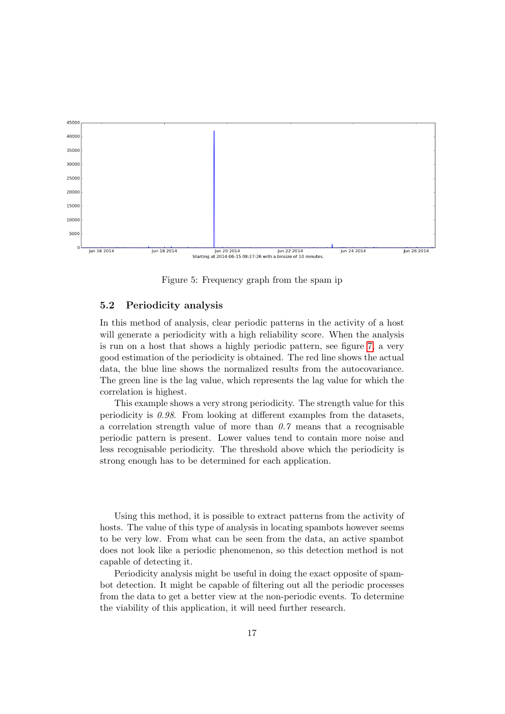

<span id="page-16-1"></span>Figure 5: Frequency graph from the spam ip

#### <span id="page-16-0"></span>5.2 Periodicity analysis

In this method of analysis, clear periodic patterns in the activity of a host will generate a periodicity with a high reliability score. When the analysis is run on a host that shows a highly periodic pattern, see figure [7,](#page-17-1) a very good estimation of the periodicity is obtained. The red line shows the actual data, the blue line shows the normalized results from the autocovariance. The green line is the lag value, which represents the lag value for which the correlation is highest.

This example shows a very strong periodicity. The strength value for this periodicity is  $0.98$ . From looking at different examples from the datasets, a correlation strength value of more than  $0.7$  means that a recognisable periodic pattern is present. Lower values tend to contain more noise and less recognisable periodicity. The threshold above which the periodicity is strong enough has to be determined for each application.

Using this method, it is possible to extract patterns from the activity of hosts. The value of this type of analysis in locating spambots however seems to be very low. From what can be seen from the data, an active spambot does not look like a periodic phenomenon, so this detection method is not capable of detecting it.

Periodicity analysis might be useful in doing the exact opposite of spambot detection. It might be capable of filtering out all the periodic processes from the data to get a better view at the non-periodic events. To determine the viability of this application, it will need further research.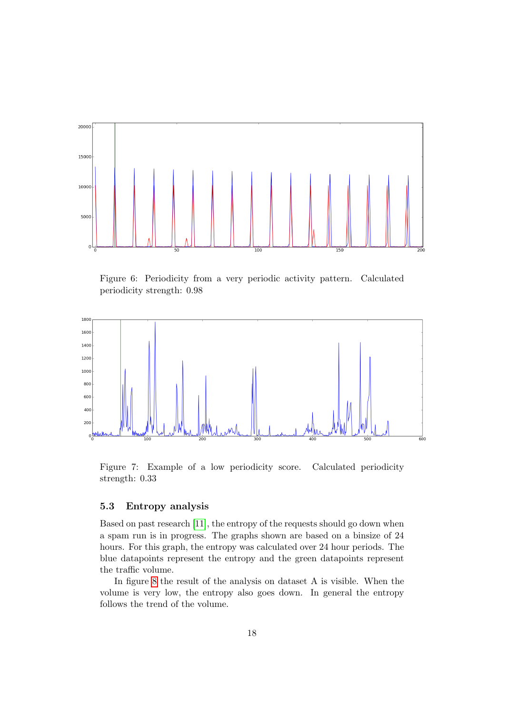

Figure 6: Periodicity from a very periodic activity pattern. Calculated periodicity strength: 0.98



<span id="page-17-1"></span>Figure 7: Example of a low periodicity score. Calculated periodicity strength: 0.33

#### <span id="page-17-0"></span>5.3 Entropy analysis

Based on past research [\[11\]](#page-25-11), the entropy of the requests should go down when a spam run is in progress. The graphs shown are based on a binsize of 24 hours. For this graph, the entropy was calculated over 24 hour periods. The blue datapoints represent the entropy and the green datapoints represent the traffic volume.

In figure [8](#page-18-0) the result of the analysis on dataset A is visible. When the volume is very low, the entropy also goes down. In general the entropy follows the trend of the volume.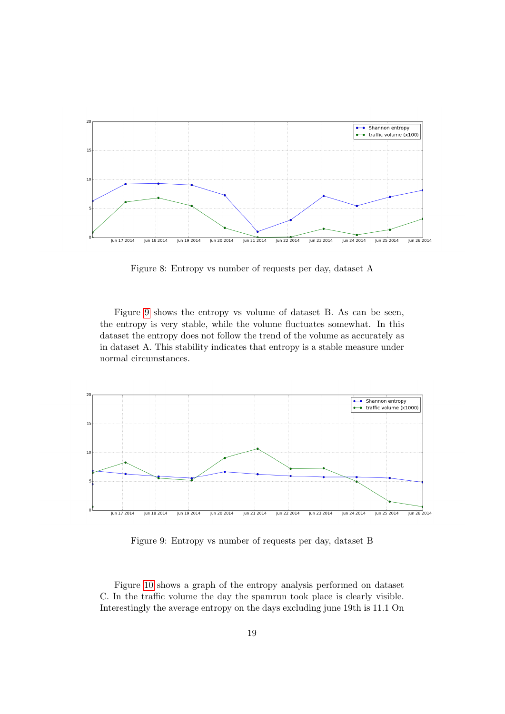

<span id="page-18-0"></span>Figure 8: Entropy vs number of requests per day, dataset A

Figure [9](#page-18-1) shows the entropy vs volume of dataset B. As can be seen, the entropy is very stable, while the volume fluctuates somewhat. In this dataset the entropy does not follow the trend of the volume as accurately as in dataset A. This stability indicates that entropy is a stable measure under normal circumstances.



<span id="page-18-1"></span>Figure 9: Entropy vs number of requests per day, dataset B

Figure [10](#page-19-1) shows a graph of the entropy analysis performed on dataset C. In the traffic volume the day the spamrun took place is clearly visible. Interestingly the average entropy on the days excluding june 19th is 11.1 On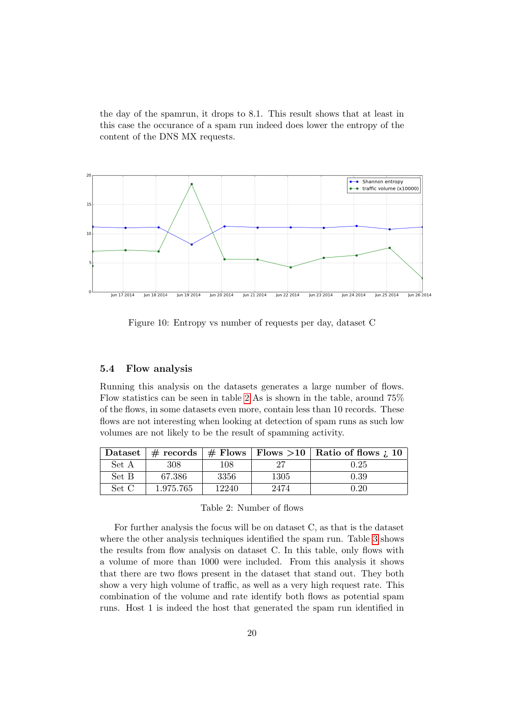the day of the spamrun, it drops to 8.1. This result shows that at least in this case the occurance of a spam run indeed does lower the entropy of the content of the DNS MX requests.



<span id="page-19-1"></span>Figure 10: Entropy vs number of requests per day, dataset C

#### <span id="page-19-0"></span>5.4 Flow analysis

Running this analysis on the datasets generates a large number of flows. Flow statistics can be seen in table [2](#page-19-2) As is shown in the table, around 75% of the flows, in some datasets even more, contain less than 10 records. These flows are not interesting when looking at detection of spam runs as such low volumes are not likely to be the result of spamming activity.

|       |           |       |      | Dataset   $\#$ records   $\#$ Flows   Flows >10   Ratio of flows ; 10 |
|-------|-----------|-------|------|-----------------------------------------------------------------------|
| Set A | 308       | 108   |      | 0.25                                                                  |
| Set B | 67.386    | 3356  | 1305 | 0.39                                                                  |
| Set C | 1.975.765 | 12240 | 2474 | 0.20                                                                  |

<span id="page-19-2"></span>

For further analysis the focus will be on dataset C, as that is the dataset where the other analysis techniques identified the spam run. Table [3](#page-20-1) shows the results from flow analysis on dataset C. In this table, only flows with a volume of more than 1000 were included. From this analysis it shows that there are two flows present in the dataset that stand out. They both show a very high volume of traffic, as well as a very high request rate. This combination of the volume and rate identify both flows as potential spam runs. Host 1 is indeed the host that generated the spam run identified in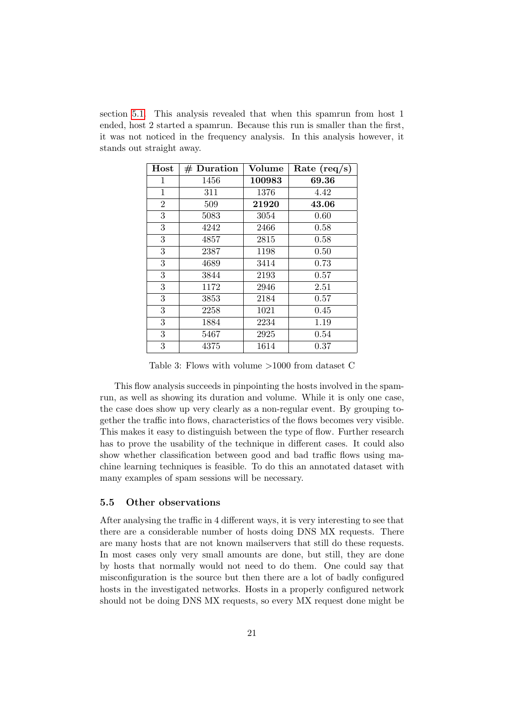section [5.1.](#page-13-1) This analysis revealed that when this spamrun from host 1 ended, host 2 started a spamrun. Because this run is smaller than the first, it was not noticed in the frequency analysis. In this analysis however, it stands out straight away.

| Host           | $#$ Duration | Volume | Rate $(\text{req/s})$ |
|----------------|--------------|--------|-----------------------|
| 1              | 1456         | 100983 | 69.36                 |
| 1              | 311          | 1376   | 4.42                  |
| $\overline{2}$ | 509          | 21920  | 43.06                 |
| 3              | 5083         | 3054   | 0.60                  |
| 3              | 4242         | 2466   | 0.58                  |
| 3              | 4857         | 2815   | 0.58                  |
| 3              | 2387         | 1198   | 0.50                  |
| 3              | 4689         | 3414   | 0.73                  |
| 3              | 3844         | 2193   | 0.57                  |
| 3              | 1172         | 2946   | 2.51                  |
| 3              | 3853         | 2184   | 0.57                  |
| 3              | 2258         | 1021   | 0.45                  |
| 3              | 1884         | 2234   | 1.19                  |
| 3              | 5467         | 2925   | 0.54                  |
| 3              | 4375         | 1614   | 0.37                  |

<span id="page-20-1"></span>Table 3: Flows with volume >1000 from dataset C

This flow analysis succeeds in pinpointing the hosts involved in the spamrun, as well as showing its duration and volume. While it is only one case, the case does show up very clearly as a non-regular event. By grouping together the traffic into flows, characteristics of the flows becomes very visible. This makes it easy to distinguish between the type of flow. Further research has to prove the usability of the technique in different cases. It could also show whether classification between good and bad traffic flows using machine learning techniques is feasible. To do this an annotated dataset with many examples of spam sessions will be necessary.

#### <span id="page-20-0"></span>5.5 Other observations

After analysing the traffic in 4 different ways, it is very interesting to see that there are a considerable number of hosts doing DNS MX requests. There are many hosts that are not known mailservers that still do these requests. In most cases only very small amounts are done, but still, they are done by hosts that normally would not need to do them. One could say that misconfiguration is the source but then there are a lot of badly configured hosts in the investigated networks. Hosts in a properly configured network should not be doing DNS MX requests, so every MX request done might be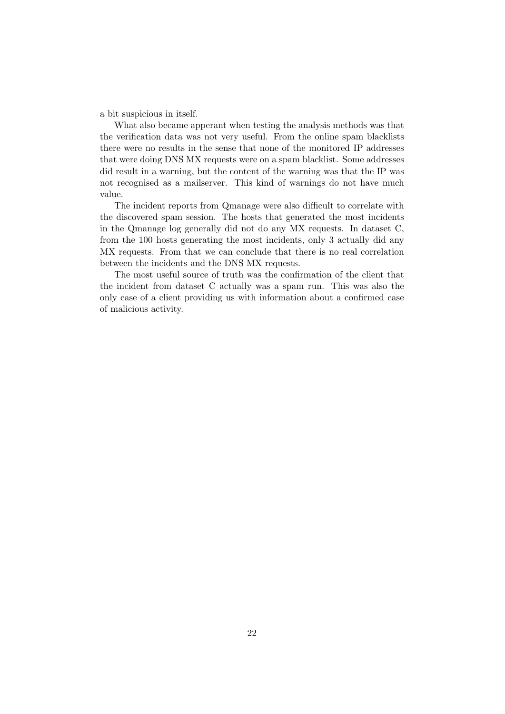a bit suspicious in itself.

What also became apperant when testing the analysis methods was that the verification data was not very useful. From the online spam blacklists there were no results in the sense that none of the monitored IP addresses that were doing DNS MX requests were on a spam blacklist. Some addresses did result in a warning, but the content of the warning was that the IP was not recognised as a mailserver. This kind of warnings do not have much value.

The incident reports from Qmanage were also difficult to correlate with the discovered spam session. The hosts that generated the most incidents in the Qmanage log generally did not do any MX requests. In dataset C, from the 100 hosts generating the most incidents, only 3 actually did any MX requests. From that we can conclude that there is no real correlation between the incidents and the DNS MX requests.

The most useful source of truth was the confirmation of the client that the incident from dataset C actually was a spam run. This was also the only case of a client providing us with information about a confirmed case of malicious activity.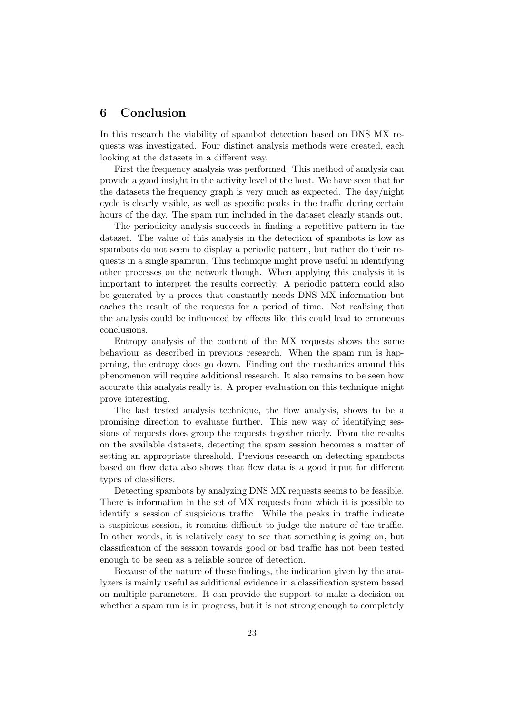## <span id="page-22-0"></span>6 Conclusion

In this research the viability of spambot detection based on DNS MX requests was investigated. Four distinct analysis methods were created, each looking at the datasets in a different way.

First the frequency analysis was performed. This method of analysis can provide a good insight in the activity level of the host. We have seen that for the datasets the frequency graph is very much as expected. The day/night cycle is clearly visible, as well as specific peaks in the traffic during certain hours of the day. The spam run included in the dataset clearly stands out.

The periodicity analysis succeeds in finding a repetitive pattern in the dataset. The value of this analysis in the detection of spambots is low as spambots do not seem to display a periodic pattern, but rather do their requests in a single spamrun. This technique might prove useful in identifying other processes on the network though. When applying this analysis it is important to interpret the results correctly. A periodic pattern could also be generated by a proces that constantly needs DNS MX information but caches the result of the requests for a period of time. Not realising that the analysis could be influenced by effects like this could lead to erroneous conclusions.

Entropy analysis of the content of the MX requests shows the same behaviour as described in previous research. When the spam run is happening, the entropy does go down. Finding out the mechanics around this phenomenon will require additional research. It also remains to be seen how accurate this analysis really is. A proper evaluation on this technique might prove interesting.

The last tested analysis technique, the flow analysis, shows to be a promising direction to evaluate further. This new way of identifying sessions of requests does group the requests together nicely. From the results on the available datasets, detecting the spam session becomes a matter of setting an appropriate threshold. Previous research on detecting spambots based on flow data also shows that flow data is a good input for different types of classifiers.

Detecting spambots by analyzing DNS MX requests seems to be feasible. There is information in the set of MX requests from which it is possible to identify a session of suspicious traffic. While the peaks in traffic indicate a suspicious session, it remains difficult to judge the nature of the traffic. In other words, it is relatively easy to see that something is going on, but classification of the session towards good or bad traffic has not been tested enough to be seen as a reliable source of detection.

Because of the nature of these findings, the indication given by the analyzers is mainly useful as additional evidence in a classification system based on multiple parameters. It can provide the support to make a decision on whether a spam run is in progress, but it is not strong enough to completely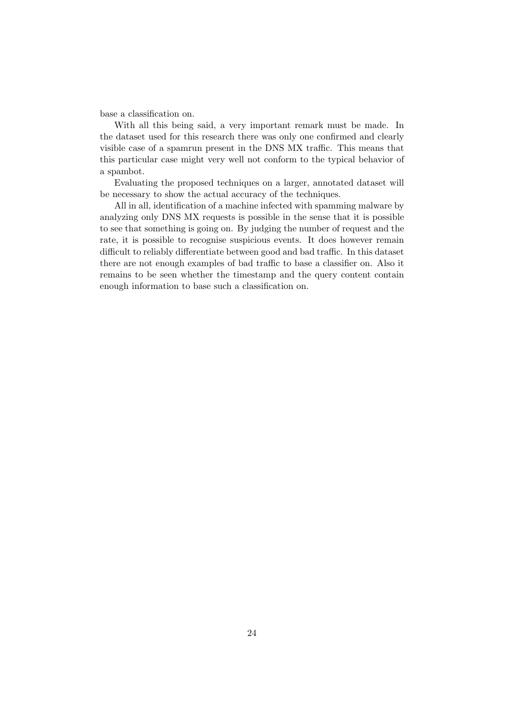base a classification on.

With all this being said, a very important remark must be made. In the dataset used for this research there was only one confirmed and clearly visible case of a spamrun present in the DNS MX traffic. This means that this particular case might very well not conform to the typical behavior of a spambot.

Evaluating the proposed techniques on a larger, annotated dataset will be necessary to show the actual accuracy of the techniques.

All in all, identification of a machine infected with spamming malware by analyzing only DNS MX requests is possible in the sense that it is possible to see that something is going on. By judging the number of request and the rate, it is possible to recognise suspicious events. It does however remain difficult to reliably differentiate between good and bad traffic. In this dataset there are not enough examples of bad traffic to base a classifier on. Also it remains to be seen whether the timestamp and the query content contain enough information to base such a classification on.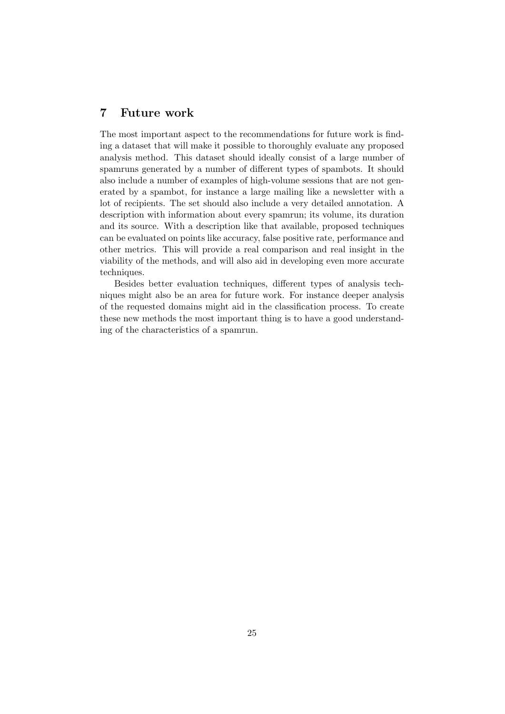## <span id="page-24-0"></span>7 Future work

The most important aspect to the recommendations for future work is finding a dataset that will make it possible to thoroughly evaluate any proposed analysis method. This dataset should ideally consist of a large number of spamruns generated by a number of different types of spambots. It should also include a number of examples of high-volume sessions that are not generated by a spambot, for instance a large mailing like a newsletter with a lot of recipients. The set should also include a very detailed annotation. A description with information about every spamrun; its volume, its duration and its source. With a description like that available, proposed techniques can be evaluated on points like accuracy, false positive rate, performance and other metrics. This will provide a real comparison and real insight in the viability of the methods, and will also aid in developing even more accurate techniques.

Besides better evaluation techniques, different types of analysis techniques might also be an area for future work. For instance deeper analysis of the requested domains might aid in the classification process. To create these new methods the most important thing is to have a good understanding of the characteristics of a spamrun.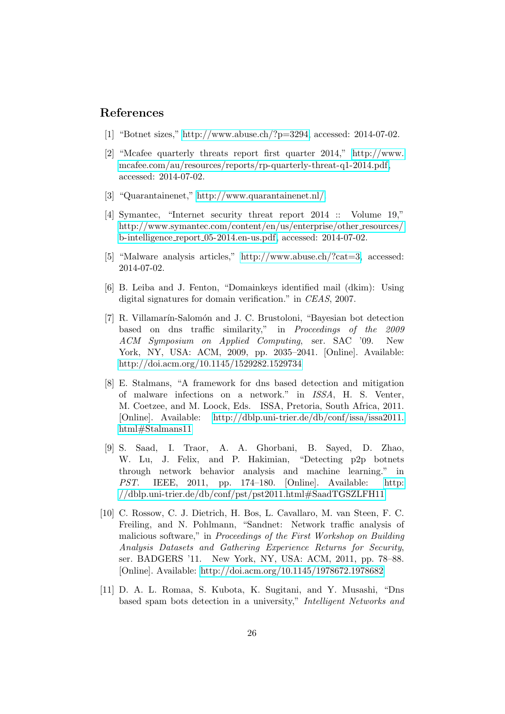### <span id="page-25-0"></span>References

- <span id="page-25-1"></span>[1] "Botnet sizes," [http://www.abuse.ch/?p=3294,](http://www.abuse.ch/?p=3294) accessed: 2014-07-02.
- <span id="page-25-2"></span>[2] "Mcafee quarterly threats report first quarter 2014," [http://www.](http://www.mcafee.com/au/resources/reports/rp-quarterly-threat-q1-2014.pdf) [mcafee.com/au/resources/reports/rp-quarterly-threat-q1-2014.pdf,](http://www.mcafee.com/au/resources/reports/rp-quarterly-threat-q1-2014.pdf) accessed: 2014-07-02.
- <span id="page-25-3"></span>[3] "Quarantainenet," [http://www.quarantainenet.nl/.](http://www.quarantainenet.nl/)
- <span id="page-25-4"></span>[4] Symantec, "Internet security threat report 2014 :: Volume 19," [http://www.symantec.com/content/en/us/enterprise/other](http://www.symantec.com/content/en/us/enterprise/other_resources/b-intelligence_report_05-2014.en-us.pdf)\_resources/ b-intelligence report [05-2014.en-us.pdf,](http://www.symantec.com/content/en/us/enterprise/other_resources/b-intelligence_report_05-2014.en-us.pdf) accessed: 2014-07-02.
- <span id="page-25-5"></span>[5] "Malware analysis articles," [http://www.abuse.ch/?cat=3,](http://www.abuse.ch/?cat=3) accessed: 2014-07-02.
- <span id="page-25-6"></span>[6] B. Leiba and J. Fenton, "Domainkeys identified mail (dkim): Using digital signatures for domain verification." in CEAS, 2007.
- <span id="page-25-7"></span>[7] R. Villamarín-Salomón and J. C. Brustoloni, "Bayesian bot detection based on dns traffic similarity," in Proceedings of the 2009 ACM Symposium on Applied Computing, ser. SAC '09. New York, NY, USA: ACM, 2009, pp. 2035–2041. [Online]. Available: <http://doi.acm.org/10.1145/1529282.1529734>
- <span id="page-25-8"></span>[8] E. Stalmans, "A framework for dns based detection and mitigation of malware infections on a network." in ISSA, H. S. Venter, M. Coetzee, and M. Loock, Eds. ISSA, Pretoria, South Africa, 2011. [Online]. Available: [http://dblp.uni-trier.de/db/conf/issa/issa2011.](http://dblp.uni-trier.de/db/conf/issa/issa2011.html#Stalmans11) [html#Stalmans11](http://dblp.uni-trier.de/db/conf/issa/issa2011.html#Stalmans11)
- <span id="page-25-9"></span>[9] S. Saad, I. Traor, A. A. Ghorbani, B. Sayed, D. Zhao, W. Lu, J. Felix, and P. Hakimian, "Detecting p2p botnets through network behavior analysis and machine learning." in PST. IEEE, 2011, pp. 174–180. [Online]. Available: [http:](http://dblp.uni-trier.de/db/conf/pst/pst2011.html#SaadTGSZLFH11) [//dblp.uni-trier.de/db/conf/pst/pst2011.html#SaadTGSZLFH11](http://dblp.uni-trier.de/db/conf/pst/pst2011.html#SaadTGSZLFH11)
- <span id="page-25-10"></span>[10] C. Rossow, C. J. Dietrich, H. Bos, L. Cavallaro, M. van Steen, F. C. Freiling, and N. Pohlmann, "Sandnet: Network traffic analysis of malicious software," in Proceedings of the First Workshop on Building Analysis Datasets and Gathering Experience Returns for Security, ser. BADGERS '11. New York, NY, USA: ACM, 2011, pp. 78–88. [Online]. Available:<http://doi.acm.org/10.1145/1978672.1978682>
- <span id="page-25-11"></span>[11] D. A. L. Romaa, S. Kubota, K. Sugitani, and Y. Musashi, "Dns based spam bots detection in a university," Intelligent Networks and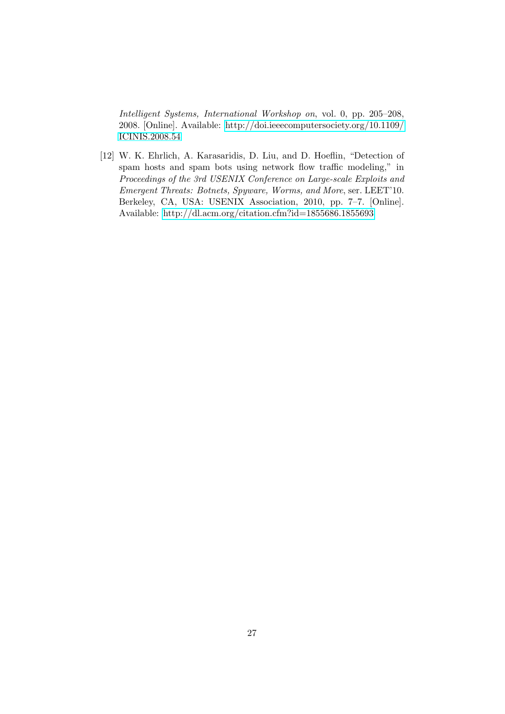Intelligent Systems, International Workshop on, vol. 0, pp. 205–208, 2008. [Online]. Available: [http://doi.ieeecomputersociety.org/10.1109/](http://doi.ieeecomputersociety.org/10.1109/ICINIS.2008.54) [ICINIS.2008.54](http://doi.ieeecomputersociety.org/10.1109/ICINIS.2008.54)

<span id="page-26-0"></span>[12] W. K. Ehrlich, A. Karasaridis, D. Liu, and D. Hoeflin, "Detection of spam hosts and spam bots using network flow traffic modeling," in Proceedings of the 3rd USENIX Conference on Large-scale Exploits and Emergent Threats: Botnets, Spyware, Worms, and More, ser. LEET'10. Berkeley, CA, USA: USENIX Association, 2010, pp. 7–7. [Online]. Available:<http://dl.acm.org/citation.cfm?id=1855686.1855693>